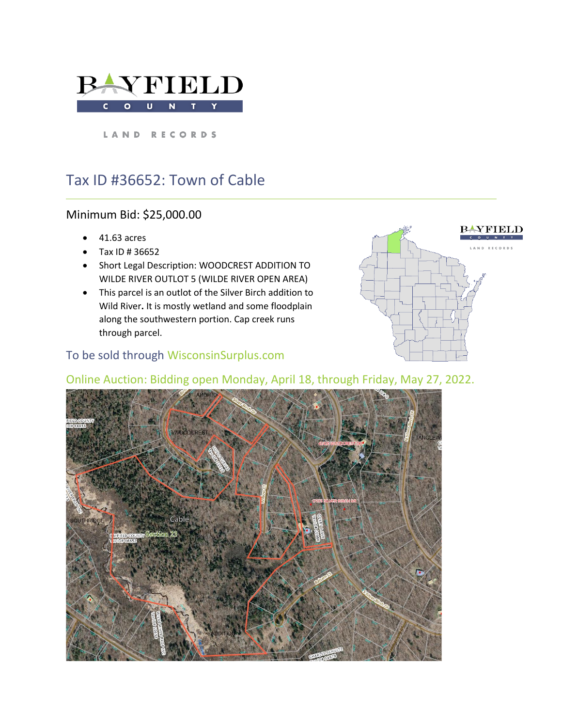

LAND RECORDS

# Tax ID #36652: Town of Cable

## Minimum Bid: \$25,000.00

- 41.63 acres
- Tax ID # 36652
- Short Legal Description: WOODCREST ADDITION TO WILDE RIVER OUTLOT 5 (WILDE RIVER OPEN AREA)
- This parcel is an outlot of the Silver Birch addition to Wild River**.** It is mostly wetland and some floodplain along the southwestern portion. Cap creek runs through parcel.

## To be sold through WisconsinSurplus.com



## Online Auction: Bidding open Monday, April 18, through Friday, May 27, 2022.

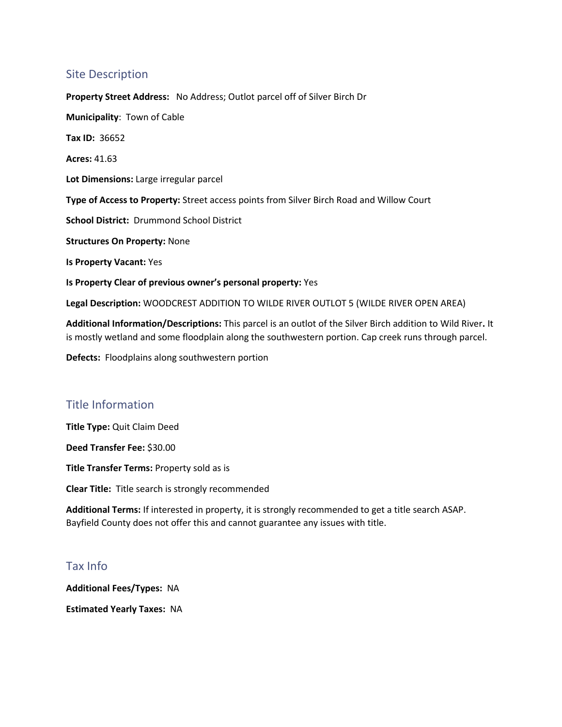#### Site Description

**Property Street Address:** No Address; Outlot parcel off of Silver Birch Dr **Municipality**: Town of Cable **Tax ID:** 36652 **Acres:** 41.63 **Lot Dimensions:** Large irregular parcel **Type of Access to Property:** Street access points from Silver Birch Road and Willow Court **School District:** Drummond School District **Structures On Property:** None **Is Property Vacant:** Yes **Is Property Clear of previous owner's personal property:** Yes

**Legal Description:** WOODCREST ADDITION TO WILDE RIVER OUTLOT 5 (WILDE RIVER OPEN AREA)

**Additional Information/Descriptions:** This parcel is an outlot of the Silver Birch addition to Wild River**.** It is mostly wetland and some floodplain along the southwestern portion. Cap creek runs through parcel.

**Defects:** Floodplains along southwestern portion

## Title Information

**Title Type:** Quit Claim Deed

**Deed Transfer Fee:** \$30.00

**Title Transfer Terms:** Property sold as is

**Clear Title:** Title search is strongly recommended

**Additional Terms:** If interested in property, it is strongly recommended to get a title search ASAP. Bayfield County does not offer this and cannot guarantee any issues with title.

#### Tax Info

**Additional Fees/Types:** NA

**Estimated Yearly Taxes:** NA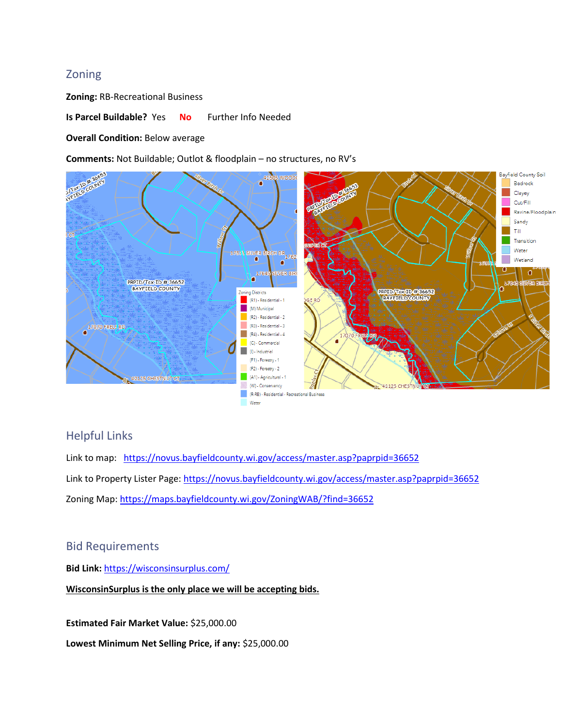#### Zoning

**Zoning:** RB-Recreational Business

**Is Parcel Buildable?** Yes **No** Further Info Needed

**Overall Condition:** Below average

**Comments:** Not Buildable; Outlot & floodplain – no structures, no RV's



#### Helpful Links

Link to map: <https://novus.bayfieldcounty.wi.gov/access/master.asp?paprpid=36652> Link to Property Lister Page:<https://novus.bayfieldcounty.wi.gov/access/master.asp?paprpid=36652> Zoning Map: <https://maps.bayfieldcounty.wi.gov/ZoningWAB/?find=36652>

#### Bid Requirements

**Bid Link:** <https://wisconsinsurplus.com/>

**WisconsinSurplus is the only place we will be accepting bids.** 

**Estimated Fair Market Value:** \$25,000.00

**Lowest Minimum Net Selling Price, if any:** \$25,000.00